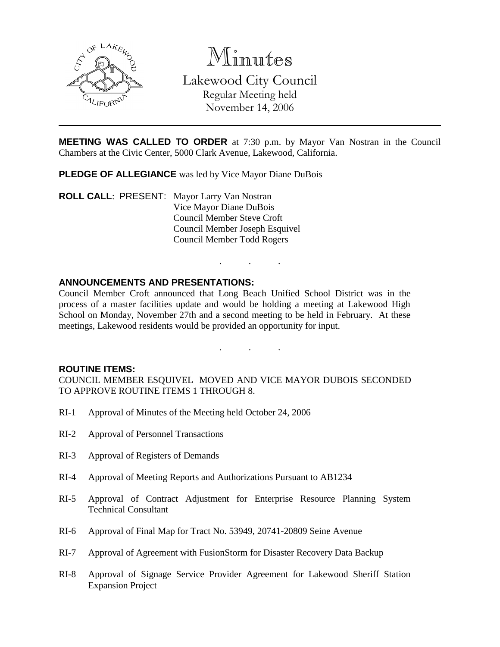

Minutes Lakewood City Council Regular Meeting held November 14, 2006

**MEETING WAS CALLED TO ORDER** at 7:30 p.m. by Mayor Van Nostran in the Council Chambers at the Civic Center, 5000 Clark Avenue, Lakewood, California.

. . .

. . .

**PLEDGE OF ALLEGIANCE** was led by Vice Mayor Diane DuBois

**ROLL CALL**: PRESENT: Mayor Larry Van Nostran Vice Mayor Diane DuBois Council Member Steve Croft Council Member Joseph Esquivel Council Member Todd Rogers

### **ANNOUNCEMENTS AND PRESENTATIONS:**

Council Member Croft announced that Long Beach Unified School District was in the process of a master facilities update and would be holding a meeting at Lakewood High School on Monday, November 27th and a second meeting to be held in February. At these meetings, Lakewood residents would be provided an opportunity for input.

#### **ROUTINE ITEMS:**

COUNCIL MEMBER ESQUIVEL MOVED AND VICE MAYOR DUBOIS SECONDED TO APPROVE ROUTINE ITEMS 1 THROUGH 8.

- RI-1 Approval of Minutes of the Meeting held October 24, 2006
- RI-2 Approval of Personnel Transactions
- RI-3 Approval of Registers of Demands
- RI-4 Approval of Meeting Reports and Authorizations Pursuant to AB1234
- RI-5 Approval of Contract Adjustment for Enterprise Resource Planning System Technical Consultant
- RI-6 Approval of Final Map for Tract No. 53949, 20741-20809 Seine Avenue
- RI-7 Approval of Agreement with FusionStorm for Disaster Recovery Data Backup
- RI-8 Approval of Signage Service Provider Agreement for Lakewood Sheriff Station Expansion Project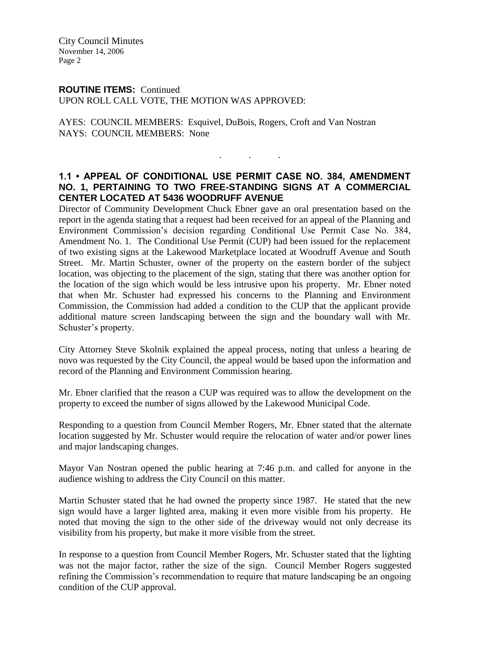City Council Minutes November 14, 2006 Page 2

#### **ROUTINE ITEMS:** Continued

UPON ROLL CALL VOTE, THE MOTION WAS APPROVED:

AYES: COUNCIL MEMBERS: Esquivel, DuBois, Rogers, Croft and Van Nostran NAYS: COUNCIL MEMBERS: None

# **1.1 • APPEAL OF CONDITIONAL USE PERMIT CASE NO. 384, AMENDMENT NO. 1, PERTAINING TO TWO FREE-STANDING SIGNS AT A COMMERCIAL CENTER LOCATED AT 5436 WOODRUFF AVENUE**

. . .

Director of Community Development Chuck Ebner gave an oral presentation based on the report in the agenda stating that a request had been received for an appeal of the Planning and Environment Commission's decision regarding Conditional Use Permit Case No. 384, Amendment No. 1. The Conditional Use Permit (CUP) had been issued for the replacement of two existing signs at the Lakewood Marketplace located at Woodruff Avenue and South Street. Mr. Martin Schuster, owner of the property on the eastern border of the subject location, was objecting to the placement of the sign, stating that there was another option for the location of the sign which would be less intrusive upon his property. Mr. Ebner noted that when Mr. Schuster had expressed his concerns to the Planning and Environment Commission, the Commission had added a condition to the CUP that the applicant provide additional mature screen landscaping between the sign and the boundary wall with Mr. Schuster's property.

City Attorney Steve Skolnik explained the appeal process, noting that unless a hearing de novo was requested by the City Council, the appeal would be based upon the information and record of the Planning and Environment Commission hearing.

Mr. Ebner clarified that the reason a CUP was required was to allow the development on the property to exceed the number of signs allowed by the Lakewood Municipal Code.

Responding to a question from Council Member Rogers, Mr. Ebner stated that the alternate location suggested by Mr. Schuster would require the relocation of water and/or power lines and major landscaping changes.

Mayor Van Nostran opened the public hearing at 7:46 p.m. and called for anyone in the audience wishing to address the City Council on this matter.

Martin Schuster stated that he had owned the property since 1987. He stated that the new sign would have a larger lighted area, making it even more visible from his property. He noted that moving the sign to the other side of the driveway would not only decrease its visibility from his property, but make it more visible from the street.

In response to a question from Council Member Rogers, Mr. Schuster stated that the lighting was not the major factor, rather the size of the sign. Council Member Rogers suggested refining the Commission's recommendation to require that mature landscaping be an ongoing condition of the CUP approval.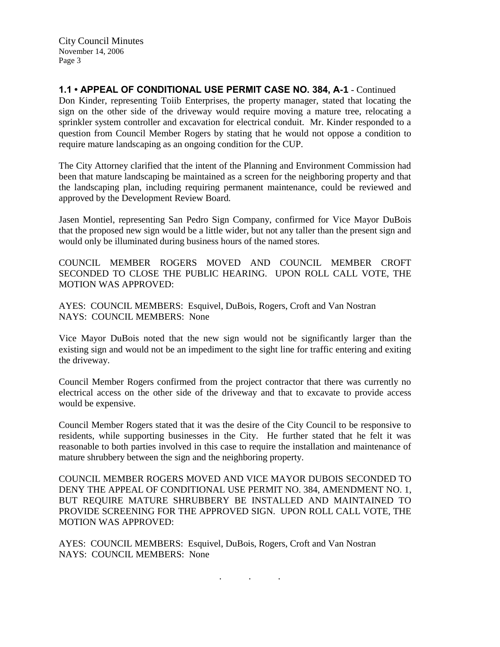City Council Minutes November 14, 2006 Page 3

**1.1 • APPEAL OF CONDITIONAL USE PERMIT CASE NO. 384, A-1** - Continued Don Kinder, representing Toiib Enterprises, the property manager, stated that locating the sign on the other side of the driveway would require moving a mature tree, relocating a sprinkler system controller and excavation for electrical conduit. Mr. Kinder responded to a question from Council Member Rogers by stating that he would not oppose a condition to require mature landscaping as an ongoing condition for the CUP.

The City Attorney clarified that the intent of the Planning and Environment Commission had been that mature landscaping be maintained as a screen for the neighboring property and that the landscaping plan, including requiring permanent maintenance, could be reviewed and approved by the Development Review Board.

Jasen Montiel, representing San Pedro Sign Company, confirmed for Vice Mayor DuBois that the proposed new sign would be a little wider, but not any taller than the present sign and would only be illuminated during business hours of the named stores.

COUNCIL MEMBER ROGERS MOVED AND COUNCIL MEMBER CROFT SECONDED TO CLOSE THE PUBLIC HEARING. UPON ROLL CALL VOTE, THE MOTION WAS APPROVED:

AYES: COUNCIL MEMBERS: Esquivel, DuBois, Rogers, Croft and Van Nostran NAYS: COUNCIL MEMBERS: None

Vice Mayor DuBois noted that the new sign would not be significantly larger than the existing sign and would not be an impediment to the sight line for traffic entering and exiting the driveway.

Council Member Rogers confirmed from the project contractor that there was currently no electrical access on the other side of the driveway and that to excavate to provide access would be expensive.

Council Member Rogers stated that it was the desire of the City Council to be responsive to residents, while supporting businesses in the City. He further stated that he felt it was reasonable to both parties involved in this case to require the installation and maintenance of mature shrubbery between the sign and the neighboring property.

COUNCIL MEMBER ROGERS MOVED AND VICE MAYOR DUBOIS SECONDED TO DENY THE APPEAL OF CONDITIONAL USE PERMIT NO. 384, AMENDMENT NO. 1, BUT REQUIRE MATURE SHRUBBERY BE INSTALLED AND MAINTAINED TO PROVIDE SCREENING FOR THE APPROVED SIGN. UPON ROLL CALL VOTE, THE MOTION WAS APPROVED:

. . .

AYES: COUNCIL MEMBERS: Esquivel, DuBois, Rogers, Croft and Van Nostran NAYS: COUNCIL MEMBERS: None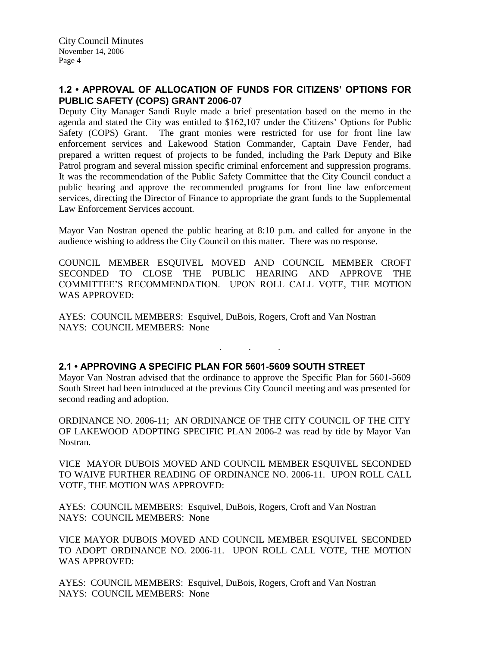## **1.2 • APPROVAL OF ALLOCATION OF FUNDS FOR CITIZENS' OPTIONS FOR PUBLIC SAFETY (COPS) GRANT 2006-07**

Deputy City Manager Sandi Ruyle made a brief presentation based on the memo in the agenda and stated the City was entitled to \$162,107 under the Citizens' Options for Public Safety (COPS) Grant. The grant monies were restricted for use for front line law enforcement services and Lakewood Station Commander, Captain Dave Fender, had prepared a written request of projects to be funded, including the Park Deputy and Bike Patrol program and several mission specific criminal enforcement and suppression programs. It was the recommendation of the Public Safety Committee that the City Council conduct a public hearing and approve the recommended programs for front line law enforcement services, directing the Director of Finance to appropriate the grant funds to the Supplemental Law Enforcement Services account.

Mayor Van Nostran opened the public hearing at 8:10 p.m. and called for anyone in the audience wishing to address the City Council on this matter. There was no response.

COUNCIL MEMBER ESQUIVEL MOVED AND COUNCIL MEMBER CROFT SECONDED TO CLOSE THE PUBLIC HEARING AND APPROVE THE COMMITTEE'S RECOMMENDATION. UPON ROLL CALL VOTE, THE MOTION WAS APPROVED:

AYES: COUNCIL MEMBERS: Esquivel, DuBois, Rogers, Croft and Van Nostran NAYS: COUNCIL MEMBERS: None

## **2.1 • APPROVING A SPECIFIC PLAN FOR 5601-5609 SOUTH STREET**

Mayor Van Nostran advised that the ordinance to approve the Specific Plan for 5601-5609 South Street had been introduced at the previous City Council meeting and was presented for second reading and adoption.

. . .

ORDINANCE NO. 2006-11; AN ORDINANCE OF THE CITY COUNCIL OF THE CITY OF LAKEWOOD ADOPTING SPECIFIC PLAN 2006-2 was read by title by Mayor Van Nostran.

VICE MAYOR DUBOIS MOVED AND COUNCIL MEMBER ESQUIVEL SECONDED TO WAIVE FURTHER READING OF ORDINANCE NO. 2006-11. UPON ROLL CALL VOTE, THE MOTION WAS APPROVED:

AYES: COUNCIL MEMBERS: Esquivel, DuBois, Rogers, Croft and Van Nostran NAYS: COUNCIL MEMBERS: None

VICE MAYOR DUBOIS MOVED AND COUNCIL MEMBER ESQUIVEL SECONDED TO ADOPT ORDINANCE NO. 2006-11. UPON ROLL CALL VOTE, THE MOTION WAS APPROVED:

AYES: COUNCIL MEMBERS: Esquivel, DuBois, Rogers, Croft and Van Nostran NAYS: COUNCIL MEMBERS: None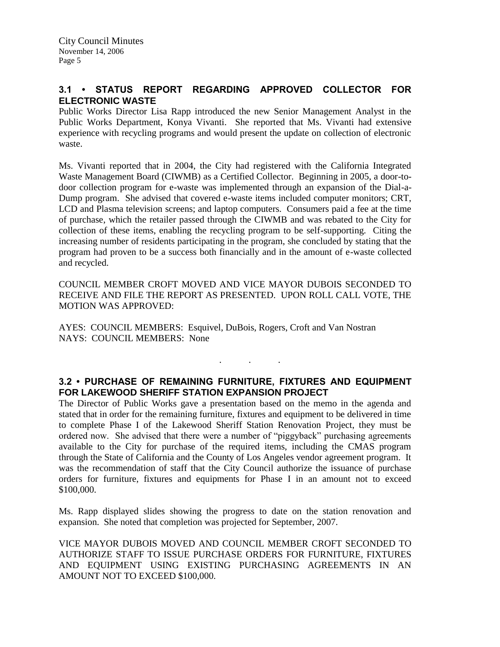# **3.1 • STATUS REPORT REGARDING APPROVED COLLECTOR FOR ELECTRONIC WASTE**

Public Works Director Lisa Rapp introduced the new Senior Management Analyst in the Public Works Department, Konya Vivanti. She reported that Ms. Vivanti had extensive experience with recycling programs and would present the update on collection of electronic waste.

Ms. Vivanti reported that in 2004, the City had registered with the California Integrated Waste Management Board (CIWMB) as a Certified Collector. Beginning in 2005, a door-todoor collection program for e-waste was implemented through an expansion of the Dial-a-Dump program. She advised that covered e-waste items included computer monitors; CRT, LCD and Plasma television screens; and laptop computers. Consumers paid a fee at the time of purchase, which the retailer passed through the CIWMB and was rebated to the City for collection of these items, enabling the recycling program to be self-supporting. Citing the increasing number of residents participating in the program, she concluded by stating that the program had proven to be a success both financially and in the amount of e-waste collected and recycled.

COUNCIL MEMBER CROFT MOVED AND VICE MAYOR DUBOIS SECONDED TO RECEIVE AND FILE THE REPORT AS PRESENTED. UPON ROLL CALL VOTE, THE MOTION WAS APPROVED:

AYES: COUNCIL MEMBERS: Esquivel, DuBois, Rogers, Croft and Van Nostran NAYS: COUNCIL MEMBERS: None

# **3.2 • PURCHASE OF REMAINING FURNITURE, FIXTURES AND EQUIPMENT FOR LAKEWOOD SHERIFF STATION EXPANSION PROJECT**

. . .

The Director of Public Works gave a presentation based on the memo in the agenda and stated that in order for the remaining furniture, fixtures and equipment to be delivered in time to complete Phase I of the Lakewood Sheriff Station Renovation Project, they must be ordered now. She advised that there were a number of "piggyback" purchasing agreements available to the City for purchase of the required items, including the CMAS program through the State of California and the County of Los Angeles vendor agreement program. It was the recommendation of staff that the City Council authorize the issuance of purchase orders for furniture, fixtures and equipments for Phase I in an amount not to exceed \$100,000.

Ms. Rapp displayed slides showing the progress to date on the station renovation and expansion. She noted that completion was projected for September, 2007.

VICE MAYOR DUBOIS MOVED AND COUNCIL MEMBER CROFT SECONDED TO AUTHORIZE STAFF TO ISSUE PURCHASE ORDERS FOR FURNITURE, FIXTURES AND EQUIPMENT USING EXISTING PURCHASING AGREEMENTS IN AN AMOUNT NOT TO EXCEED \$100,000.